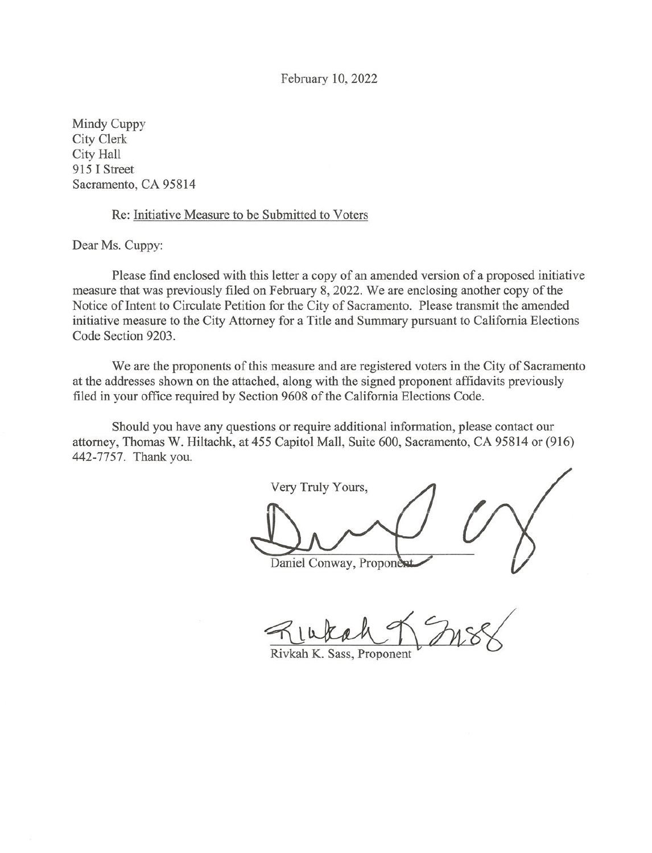February 10, 2022

Mindy Cuppy City Clerk City Hall 915 I Street Sacramento, CA 95814

### Re: Initiative Measure to be Submitted to Voters

Dear Ms. Cuppy:

Please find enclosed with this letter a copy of an amended version of a proposed initiative measure that was previously filed on February 8, 2022. We are enclosing another copy of the Notice of Intent to Circulate Petition for the City of Sacramento. Please transmit the amended initiative measure to the City Attorney for a Title and Summary pursuant to California Elections Code Section 9203.

We are the proponents of this measure and are registered voters in the City of Sacramento at the addresses shown on the attached, along with the signed proponent affidavits previously filed in your office required by Section 9608 of the California Elections Code.

Should you have any questions or require additional information, please contact our attorney, Thomas W. Hiltachk, at 455 Capitol Mall, Suite 600, Sacramento, CA 95814 or (916) 442-7757. Thank you.

Very Truly Yours, Daniel Conway, Proponent

Rivkah K. Sass, Proponent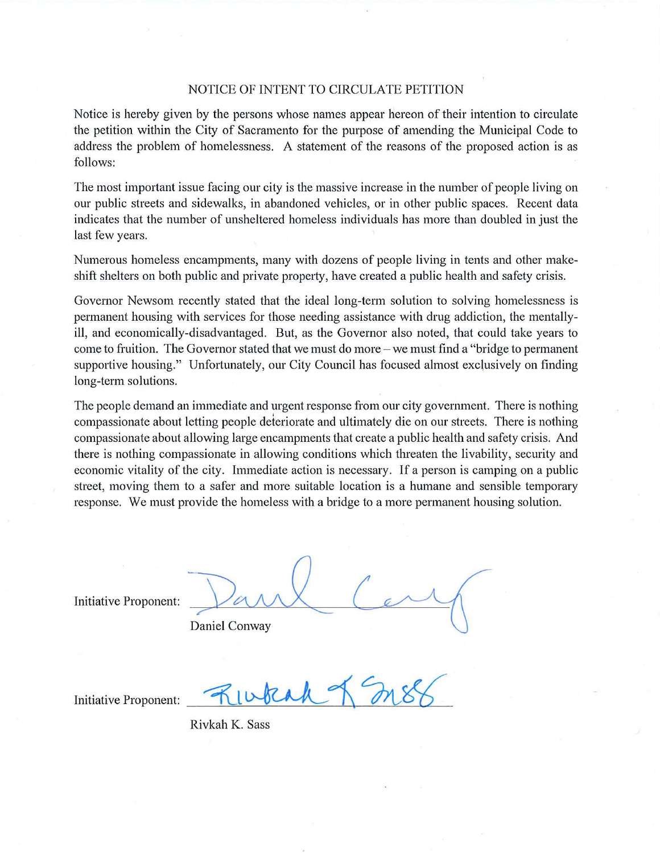### NOTICE OF INTENT TO CIRCULATE PETITION

Notice is hereby given by the persons whose names appear hereon of their intention to circulate the petition within the City of Sacramento for the purpose of amending the Municipal Code to address the problem of homelessness. A statement of the reasons of the proposed action is as follows:

The most important issue facing our city is the massive increase in the number of people living on our public streets and sidewalks, in abandoned vehicles, or in other public spaces. Recent data indicates that the number of unsheltered homeless individuals has more than doubled in just the last few years.

Numerous homeless encampments, many with dozens of people living in tents and other makeshift shelters on both public and private property, have created a public health and safety crisis.

Governor Newsom recently stated that the ideal long-term solution to solving homelessness is permanent housing with services for those needing assistance with drug addiction, the mentallyill, and economically-disadvantaged. But, as the Governor also noted, that could take years to come to fruition. The Governor stated that we must do more – we must find a "bridge to permanent" supportive housing." Unfortunately, our City Council has focused almost exclusively on finding long-term solutions.

The people demand an immediate and urgent response from our city government. There is nothing compassionate about letting people deteriorate and ultimately die on our streets. There is nothing compassionate about allowing large encampments that create a public health and safety crisis. And there is nothing compassionate in allowing conditions which threaten the livability, security and economic vitality of the city. Immediate action is necessary. If a person is camping on a public street, moving them to a safer and more suitable location is a humane and sensible temporary response. We must provide the homeless with a bridge to a more permanent housing solution.

Initiative Proponent:

Daniel Conway

Initiative Proponent:

Rivkah K. Sass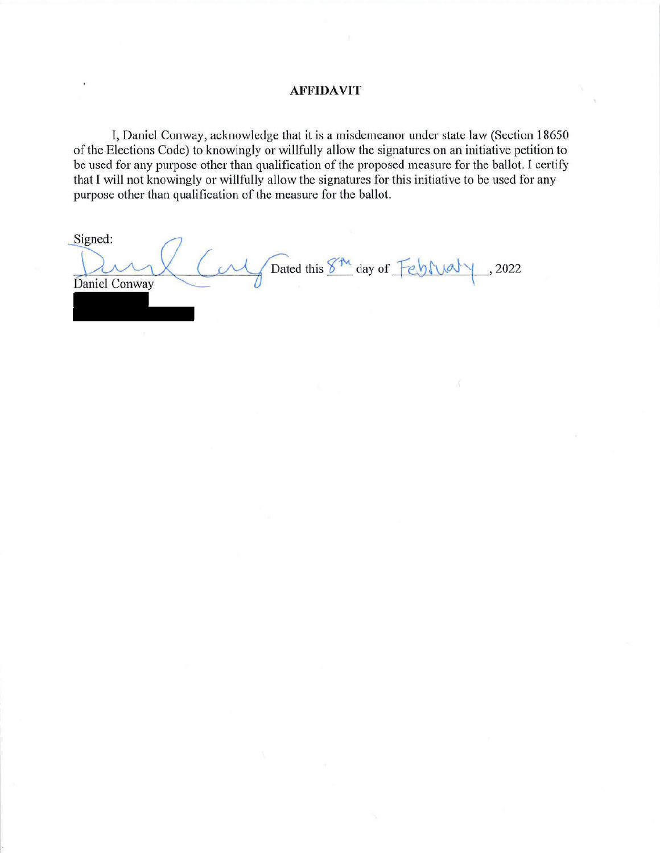### **AFFIDAVIT**

I, Daniel Conway, acknowledge that it is a misdemeanor under state law (Section 18650 of the Elections Code) to knowingly or willfully allow the signatures on an initiative petition to be used for any purpose other than qualification of the proposed measure for the ballot. I certify that I will not knowingly or willfully allow the signatures for this initiative to be used for any purpose other than qualification of the measure for the ballot.

| Signed:                        |        |
|--------------------------------|--------|
| Dated this 8th day of February | , 2022 |
| Daniel Conway                  |        |
|                                |        |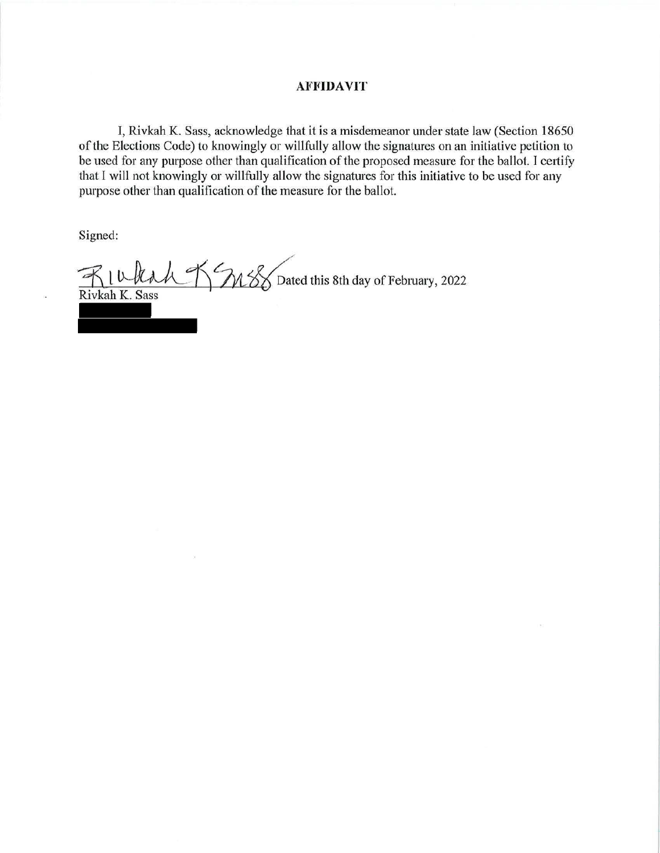### **AFFIDAVIT**

I, Rivkah K. Sass, acknowledge that it is a misdemeanor under state law (Section 18650 of the Elections Code) to knowingly or willfully allow the signatures on an initiative petition to be used for any purpose other than qualification of the proposed measure for the ballot. I certify that I will not knowingly or willfully allow the signatures for this initiative to be used for any purpose other than qualification of the measure for the ballot.

Signed:

MSS Dated this 8th day of February, 2022 Rivkah K. Sass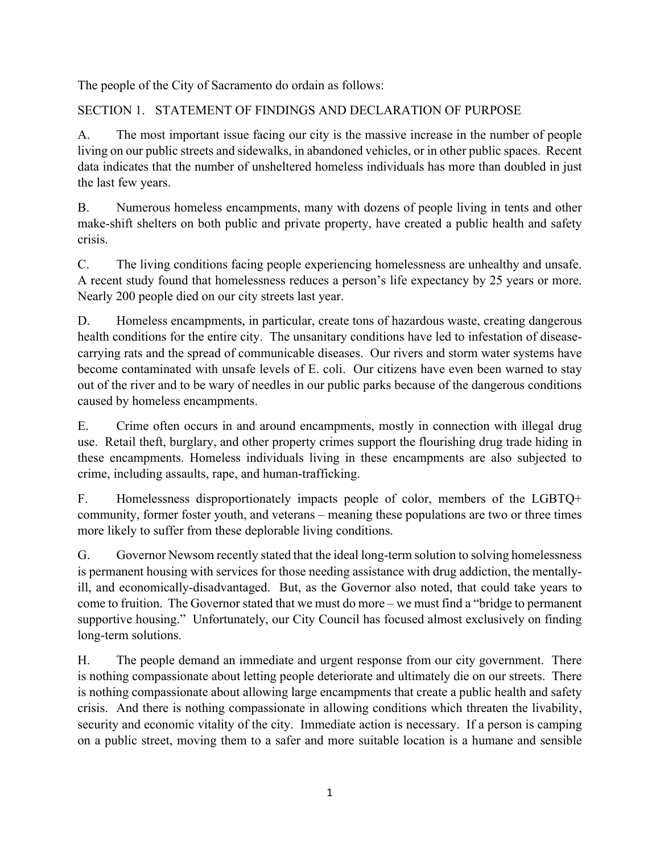The people of the City of Sacramento do ordain as follows:

## SECTION 1. STATEMENT OF FINDINGS AND DECLARATION OF PURPOSE

A. The most important issue facing our city is the massive increase in the number of people living on our public streets and sidewalks, in abandoned vehicles, or in other public spaces. Recent data indicates that the number of unsheltered homeless individuals has more than doubled in just the last few years.

B. Numerous homeless encampments, many with dozens of people living in tents and other make-shift shelters on both public and private property, have created a public health and safety crisis.

C. The living conditions facing people experiencing homelessness are unhealthy and unsafe. A recent study found that homelessness reduces a person's life expectancy by 25 years or more. Nearly 200 people died on our city streets last year.

D. Homeless encampments, in particular, create tons of hazardous waste, creating dangerous health conditions for the entire city. The unsanitary conditions have led to infestation of diseasecarrying rats and the spread of communicable diseases. Our rivers and storm water systems have become contaminated with unsafe levels of E. coli. Our citizens have even been warned to stay out of the river and to be wary of needles in our public parks because of the dangerous conditions caused by homeless encampments.

E. Crime often occurs in and around encampments, mostly in connection with illegal drug use. Retail theft, burglary, and other property crimes support the flourishing drug trade hiding in these encampments. Homeless individuals living in these encampments are also subjected to crime, including assaults, rape, and human-trafficking.

F. Homelessness disproportionately impacts people of color, members of the LGBTQ+ community, former foster youth, and veterans – meaning these populations are two or three times more likely to suffer from these deplorable living conditions.

G. Governor Newsom recently stated that the ideal long-term solution to solving homelessness is permanent housing with services for those needing assistance with drug addiction, the mentallyill, and economically-disadvantaged. But, as the Governor also noted, that could take years to come to fruition. The Governor stated that we must do more – we must find a "bridge to permanent supportive housing." Unfortunately, our City Council has focused almost exclusively on finding long-term solutions.

H. The people demand an immediate and urgent response from our city government. There is nothing compassionate about letting people deteriorate and ultimately die on our streets. There is nothing compassionate about allowing large encampments that create a public health and safety crisis. And there is nothing compassionate in allowing conditions which threaten the livability, security and economic vitality of the city. Immediate action is necessary. If a person is camping on a public street, moving them to a safer and more suitable location is a humane and sensible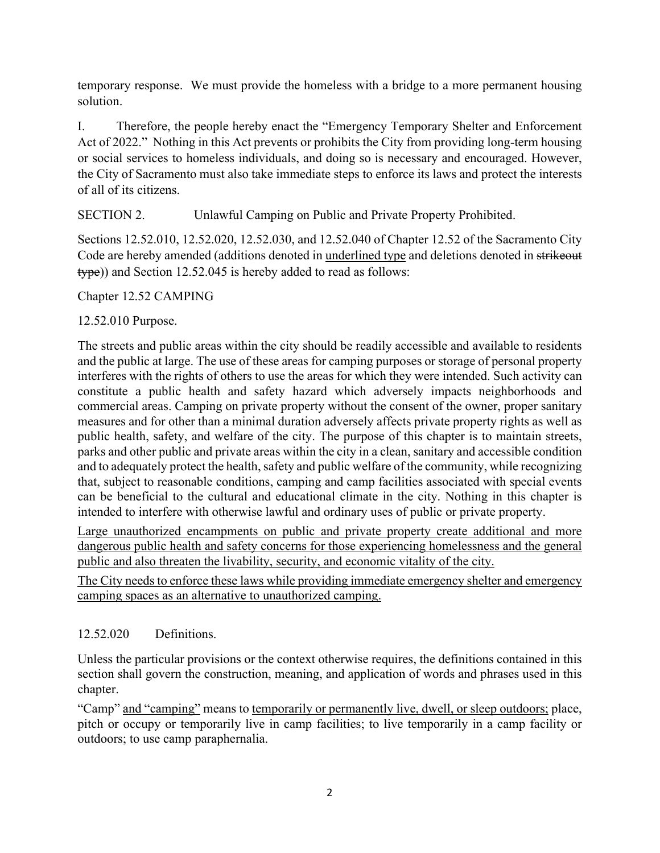temporary response. We must provide the homeless with a bridge to a more permanent housing solution.

I. Therefore, the people hereby enact the "Emergency Temporary Shelter and Enforcement Act of 2022." Nothing in this Act prevents or prohibits the City from providing long-term housing or social services to homeless individuals, and doing so is necessary and encouraged. However, the City of Sacramento must also take immediate steps to enforce its laws and protect the interests of all of its citizens.

SECTION 2. Unlawful Camping on Public and Private Property Prohibited.

Sections 12.52.010, 12.52.020, 12.52.030, and 12.52.040 of Chapter 12.52 of the Sacramento City Code are hereby amended (additions denoted in underlined type and deletions denoted in strikeout type)) and Section 12.52.045 is hereby added to read as follows:

## Chapter 12.52 CAMPING

## 12.52.010 Purpose.

The streets and public areas within the city should be readily accessible and available to residents and the public at large. The use of these areas for camping purposes or storage of personal property interferes with the rights of others to use the areas for which they were intended. Such activity can constitute a public health and safety hazard which adversely impacts neighborhoods and commercial areas. Camping on private property without the consent of the owner, proper sanitary measures and for other than a minimal duration adversely affects private property rights as well as public health, safety, and welfare of the city. The purpose of this chapter is to maintain streets, parks and other public and private areas within the city in a clean, sanitary and accessible condition and to adequately protect the health, safety and public welfare of the community, while recognizing that, subject to reasonable conditions, camping and camp facilities associated with special events can be beneficial to the cultural and educational climate in the city. Nothing in this chapter is intended to interfere with otherwise lawful and ordinary uses of public or private property.

Large unauthorized encampments on public and private property create additional and more dangerous public health and safety concerns for those experiencing homelessness and the general public and also threaten the livability, security, and economic vitality of the city.

The City needs to enforce these laws while providing immediate emergency shelter and emergency camping spaces as an alternative to unauthorized camping.

## 12.52.020 Definitions.

Unless the particular provisions or the context otherwise requires, the definitions contained in this section shall govern the construction, meaning, and application of words and phrases used in this chapter.

"Camp" and "camping" means to temporarily or permanently live, dwell, or sleep outdoors; place, pitch or occupy or temporarily live in camp facilities; to live temporarily in a camp facility or outdoors; to use camp paraphernalia.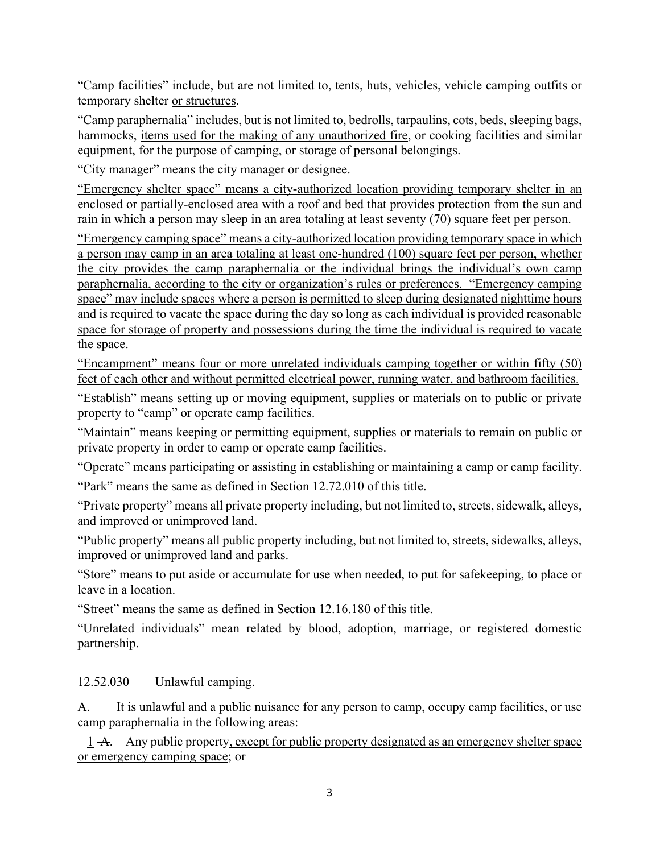"Camp facilities" include, but are not limited to, tents, huts, vehicles, vehicle camping outfits or temporary shelter or structures.

"Camp paraphernalia" includes, but is not limited to, bedrolls, tarpaulins, cots, beds, sleeping bags, hammocks, items used for the making of any unauthorized fire, or cooking facilities and similar equipment, for the purpose of camping, or storage of personal belongings.

"City manager" means the city manager or designee.

"Emergency shelter space" means a city-authorized location providing temporary shelter in an enclosed or partially-enclosed area with a roof and bed that provides protection from the sun and rain in which a person may sleep in an area totaling at least seventy (70) square feet per person.

"Emergency camping space" means a city-authorized location providing temporary space in which a person may camp in an area totaling at least one-hundred (100) square feet per person, whether the city provides the camp paraphernalia or the individual brings the individual's own camp paraphernalia, according to the city or organization's rules or preferences. "Emergency camping space" may include spaces where a person is permitted to sleep during designated nighttime hours and is required to vacate the space during the day so long as each individual is provided reasonable space for storage of property and possessions during the time the individual is required to vacate the space.

"Encampment" means four or more unrelated individuals camping together or within fifty (50) feet of each other and without permitted electrical power, running water, and bathroom facilities.

"Establish" means setting up or moving equipment, supplies or materials on to public or private property to "camp" or operate camp facilities.

"Maintain" means keeping or permitting equipment, supplies or materials to remain on public or private property in order to camp or operate camp facilities.

"Operate" means participating or assisting in establishing or maintaining a camp or camp facility.

"Park" means the same as defined in Section 12.72.010 of this title.

"Private property" means all private property including, but not limited to, streets, sidewalk, alleys, and improved or unimproved land.

"Public property" means all public property including, but not limited to, streets, sidewalks, alleys, improved or unimproved land and parks.

"Store" means to put aside or accumulate for use when needed, to put for safekeeping, to place or leave in a location.

"Street" means the same as defined in Section 12.16.180 of this title.

"Unrelated individuals" mean related by blood, adoption, marriage, or registered domestic partnership.

12.52.030 Unlawful camping.

A. It is unlawful and a public nuisance for any person to camp, occupy camp facilities, or use camp paraphernalia in the following areas:

 1 A. Any public property, except for public property designated as an emergency shelter space or emergency camping space; or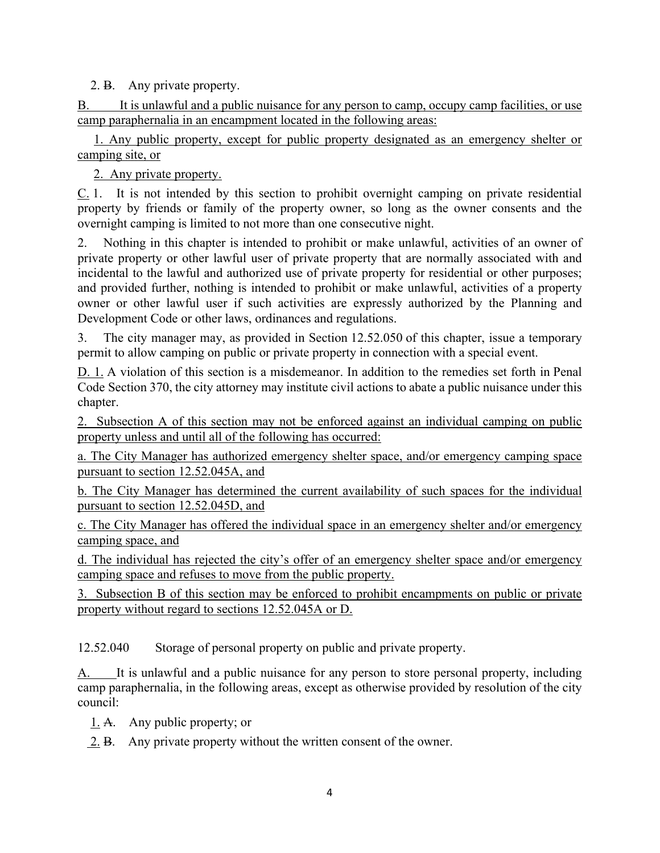2. B. Any private property.

B. It is unlawful and a public nuisance for any person to camp, occupy camp facilities, or use camp paraphernalia in an encampment located in the following areas:

 1. Any public property, except for public property designated as an emergency shelter or camping site, or

2. Any private property.

 $C<sub>1</sub>$ . It is not intended by this section to prohibit overnight camping on private residential property by friends or family of the property owner, so long as the owner consents and the overnight camping is limited to not more than one consecutive night.

2. Nothing in this chapter is intended to prohibit or make unlawful, activities of an owner of private property or other lawful user of private property that are normally associated with and incidental to the lawful and authorized use of private property for residential or other purposes; and provided further, nothing is intended to prohibit or make unlawful, activities of a property owner or other lawful user if such activities are expressly authorized by the Planning and Development Code or other laws, ordinances and regulations.

3. The city manager may, as provided in Section 12.52.050 of this chapter, issue a temporary permit to allow camping on public or private property in connection with a special event.

D. 1. A violation of this section is a misdemeanor. In addition to the remedies set forth in Penal Code Section 370, the city attorney may institute civil actions to abate a public nuisance under this chapter.

2. Subsection A of this section may not be enforced against an individual camping on public property unless and until all of the following has occurred:

a. The City Manager has authorized emergency shelter space, and/or emergency camping space pursuant to section 12.52.045A, and

b. The City Manager has determined the current availability of such spaces for the individual pursuant to section 12.52.045D, and

c. The City Manager has offered the individual space in an emergency shelter and/or emergency camping space, and

d. The individual has rejected the city's offer of an emergency shelter space and/or emergency camping space and refuses to move from the public property.

3. Subsection B of this section may be enforced to prohibit encampments on public or private property without regard to sections 12.52.045A or D.

12.52.040 Storage of personal property on public and private property.

A. It is unlawful and a public nuisance for any person to store personal property, including camp paraphernalia, in the following areas, except as otherwise provided by resolution of the city council:

1. A. Any public property; or

2. B. Any private property without the written consent of the owner.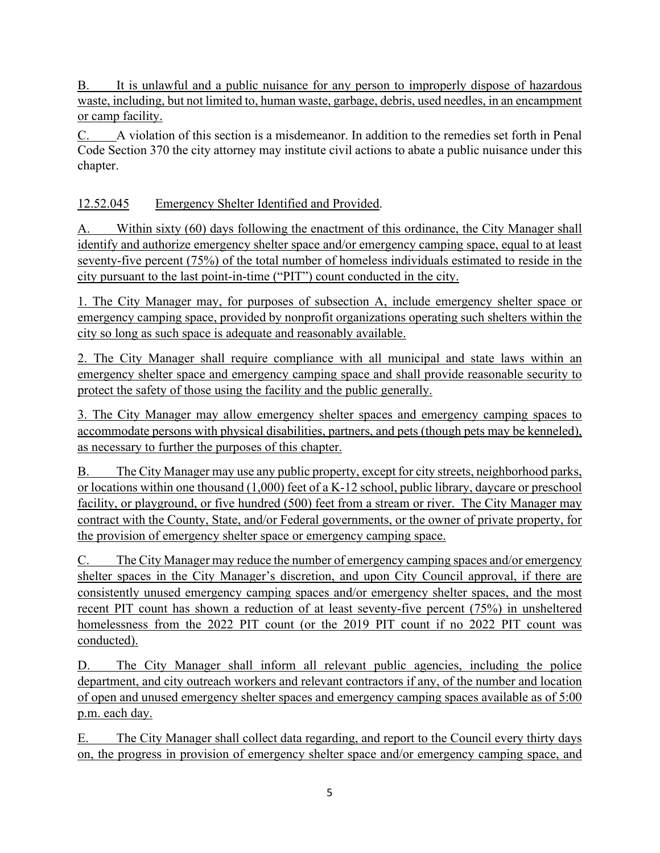B. It is unlawful and a public nuisance for any person to improperly dispose of hazardous waste, including, but not limited to, human waste, garbage, debris, used needles, in an encampment or camp facility.

C. A violation of this section is a misdemeanor. In addition to the remedies set forth in Penal Code Section 370 the city attorney may institute civil actions to abate a public nuisance under this chapter.

# 12.52.045 Emergency Shelter Identified and Provided.

A. Within sixty (60) days following the enactment of this ordinance, the City Manager shall identify and authorize emergency shelter space and/or emergency camping space, equal to at least seventy-five percent (75%) of the total number of homeless individuals estimated to reside in the city pursuant to the last point-in-time ("PIT") count conducted in the city.

1. The City Manager may, for purposes of subsection A, include emergency shelter space or emergency camping space, provided by nonprofit organizations operating such shelters within the city so long as such space is adequate and reasonably available.

2. The City Manager shall require compliance with all municipal and state laws within an emergency shelter space and emergency camping space and shall provide reasonable security to protect the safety of those using the facility and the public generally.

3. The City Manager may allow emergency shelter spaces and emergency camping spaces to accommodate persons with physical disabilities, partners, and pets (though pets may be kenneled), as necessary to further the purposes of this chapter.

B. The City Manager may use any public property, except for city streets, neighborhood parks, or locations within one thousand (1,000) feet of a K-12 school, public library, daycare or preschool facility, or playground, or five hundred (500) feet from a stream or river. The City Manager may contract with the County, State, and/or Federal governments, or the owner of private property, for the provision of emergency shelter space or emergency camping space.

C. The City Manager may reduce the number of emergency camping spaces and/or emergency shelter spaces in the City Manager's discretion, and upon City Council approval, if there are consistently unused emergency camping spaces and/or emergency shelter spaces, and the most recent PIT count has shown a reduction of at least seventy-five percent (75%) in unsheltered homelessness from the 2022 PIT count (or the 2019 PIT count if no 2022 PIT count was conducted).

D. The City Manager shall inform all relevant public agencies, including the police department, and city outreach workers and relevant contractors if any, of the number and location of open and unused emergency shelter spaces and emergency camping spaces available as of 5:00 p.m. each day.

E. The City Manager shall collect data regarding, and report to the Council every thirty days on, the progress in provision of emergency shelter space and/or emergency camping space, and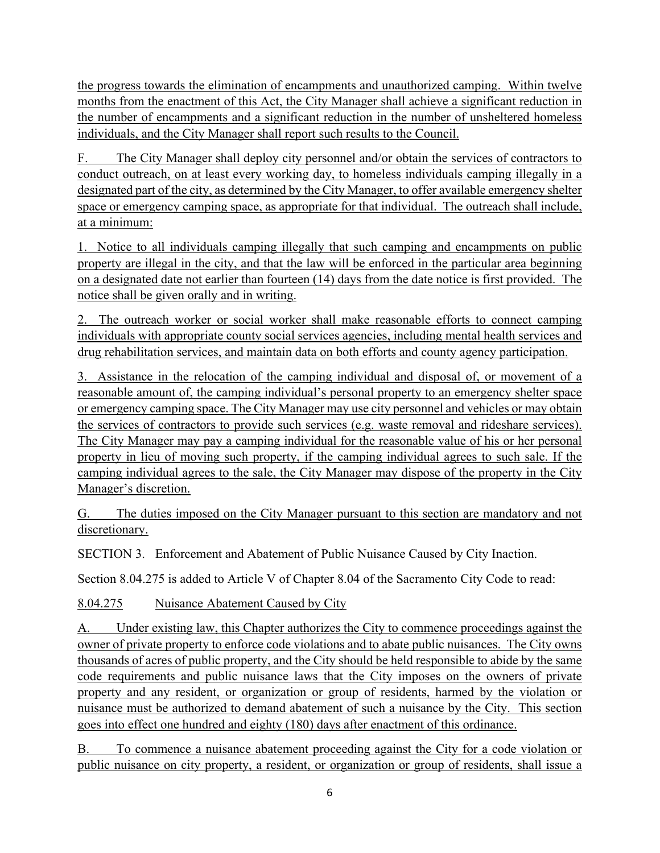the progress towards the elimination of encampments and unauthorized camping. Within twelve months from the enactment of this Act, the City Manager shall achieve a significant reduction in the number of encampments and a significant reduction in the number of unsheltered homeless individuals, and the City Manager shall report such results to the Council.

F. The City Manager shall deploy city personnel and/or obtain the services of contractors to conduct outreach, on at least every working day, to homeless individuals camping illegally in a designated part of the city, as determined by the City Manager, to offer available emergency shelter space or emergency camping space, as appropriate for that individual. The outreach shall include, at a minimum:

1. Notice to all individuals camping illegally that such camping and encampments on public property are illegal in the city, and that the law will be enforced in the particular area beginning on a designated date not earlier than fourteen (14) days from the date notice is first provided. The notice shall be given orally and in writing.

2. The outreach worker or social worker shall make reasonable efforts to connect camping individuals with appropriate county social services agencies, including mental health services and drug rehabilitation services, and maintain data on both efforts and county agency participation.

3. Assistance in the relocation of the camping individual and disposal of, or movement of a reasonable amount of, the camping individual's personal property to an emergency shelter space or emergency camping space. The City Manager may use city personnel and vehicles or may obtain the services of contractors to provide such services (e.g. waste removal and rideshare services). The City Manager may pay a camping individual for the reasonable value of his or her personal property in lieu of moving such property, if the camping individual agrees to such sale. If the camping individual agrees to the sale, the City Manager may dispose of the property in the City Manager's discretion.

G. The duties imposed on the City Manager pursuant to this section are mandatory and not discretionary.

SECTION 3. Enforcement and Abatement of Public Nuisance Caused by City Inaction.

Section 8.04.275 is added to Article V of Chapter 8.04 of the Sacramento City Code to read:

8.04.275 Nuisance Abatement Caused by City

A. Under existing law, this Chapter authorizes the City to commence proceedings against the owner of private property to enforce code violations and to abate public nuisances. The City owns thousands of acres of public property, and the City should be held responsible to abide by the same code requirements and public nuisance laws that the City imposes on the owners of private property and any resident, or organization or group of residents, harmed by the violation or nuisance must be authorized to demand abatement of such a nuisance by the City. This section goes into effect one hundred and eighty (180) days after enactment of this ordinance.

B. To commence a nuisance abatement proceeding against the City for a code violation or public nuisance on city property, a resident, or organization or group of residents, shall issue a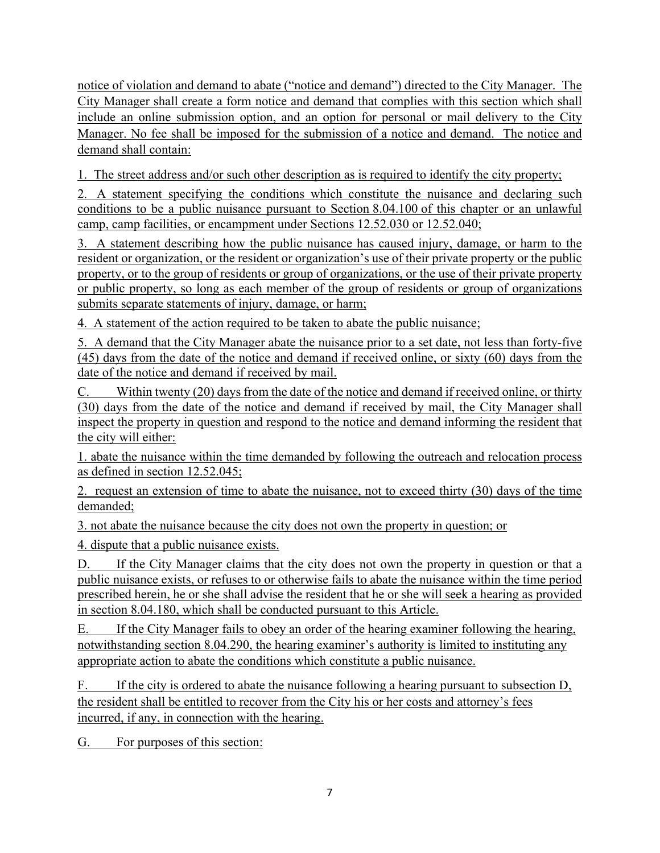notice of violation and demand to abate ("notice and demand") directed to the City Manager. The City Manager shall create a form notice and demand that complies with this section which shall include an online submission option, and an option for personal or mail delivery to the City Manager. No fee shall be imposed for the submission of a notice and demand. The notice and demand shall contain:

1. The street address and/or such other description as is required to identify the city property;

2. A statement specifying the conditions which constitute the nuisance and declaring such conditions to be a public nuisance pursuant to Section 8.04.100 of this chapter or an unlawful camp, camp facilities, or encampment under Sections 12.52.030 or 12.52.040;

3. A statement describing how the public nuisance has caused injury, damage, or harm to the resident or organization, or the resident or organization's use of their private property or the public property, or to the group of residents or group of organizations, or the use of their private property or public property, so long as each member of the group of residents or group of organizations submits separate statements of injury, damage, or harm;

4. A statement of the action required to be taken to abate the public nuisance;

5. A demand that the City Manager abate the nuisance prior to a set date, not less than forty-five (45) days from the date of the notice and demand if received online, or sixty (60) days from the date of the notice and demand if received by mail.

C. Within twenty (20) days from the date of the notice and demand if received online, or thirty (30) days from the date of the notice and demand if received by mail, the City Manager shall inspect the property in question and respond to the notice and demand informing the resident that the city will either:

1. abate the nuisance within the time demanded by following the outreach and relocation process as defined in section 12.52.045;

2. request an extension of time to abate the nuisance, not to exceed thirty (30) days of the time demanded;

3. not abate the nuisance because the city does not own the property in question; or

4. dispute that a public nuisance exists.

D. If the City Manager claims that the city does not own the property in question or that a public nuisance exists, or refuses to or otherwise fails to abate the nuisance within the time period prescribed herein, he or she shall advise the resident that he or she will seek a hearing as provided in section 8.04.180, which shall be conducted pursuant to this Article.

E. If the City Manager fails to obey an order of the hearing examiner following the hearing, notwithstanding section 8.04.290, the hearing examiner's authority is limited to instituting any appropriate action to abate the conditions which constitute a public nuisance.

F. If the city is ordered to abate the nuisance following a hearing pursuant to subsection D, the resident shall be entitled to recover from the City his or her costs and attorney's fees incurred, if any, in connection with the hearing.

G. For purposes of this section: